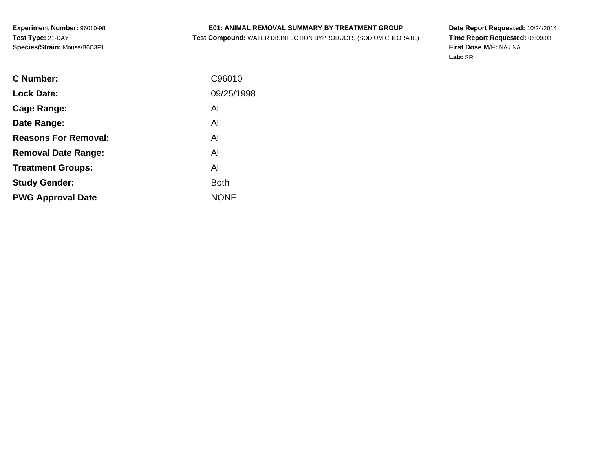# **E01: ANIMAL REMOVAL SUMMARY BY TREATMENT GROUP**

**Test Compound:** WATER DISINFECTION BYPRODUCTS (SODIUM CHLORATE)

**Date Report Requested:** 10/24/2014 **Time Report Requested:** 06:09:03**First Dose M/F:** NA / NA**Lab:** SRI

| C Number:                   | C96010      |
|-----------------------------|-------------|
| <b>Lock Date:</b>           | 09/25/1998  |
| Cage Range:                 | All         |
| Date Range:                 | All         |
| <b>Reasons For Removal:</b> | All         |
| <b>Removal Date Range:</b>  | All         |
| <b>Treatment Groups:</b>    | All         |
| <b>Study Gender:</b>        | <b>Both</b> |
| <b>PWG Approval Date</b>    | <b>NONE</b> |
|                             |             |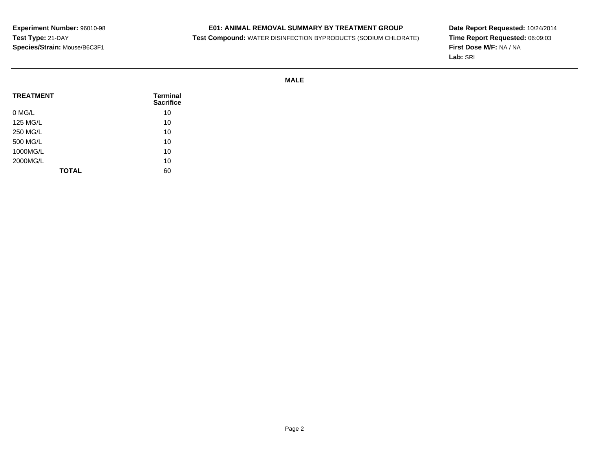# **E01: ANIMAL REMOVAL SUMMARY BY TREATMENT GROUP**

**Test Compound:** WATER DISINFECTION BYPRODUCTS (SODIUM CHLORATE)

**Date Report Requested:** 10/24/2014 **Time Report Requested:** 06:09:03**First Dose M/F:** NA / NA**Lab:** SRI

# **MALE**

| <b>TREATMENT</b> | <b>Terminal</b><br><b>Sacrifice</b> |
|------------------|-------------------------------------|
| 0 MG/L           | 10                                  |
| 125 MG/L         | 10                                  |
| 250 MG/L         | 10                                  |
| 500 MG/L         | 10                                  |
| 1000MG/L         | 10                                  |
| 2000MG/L         | 10                                  |
| <b>TOTAL</b>     | 60                                  |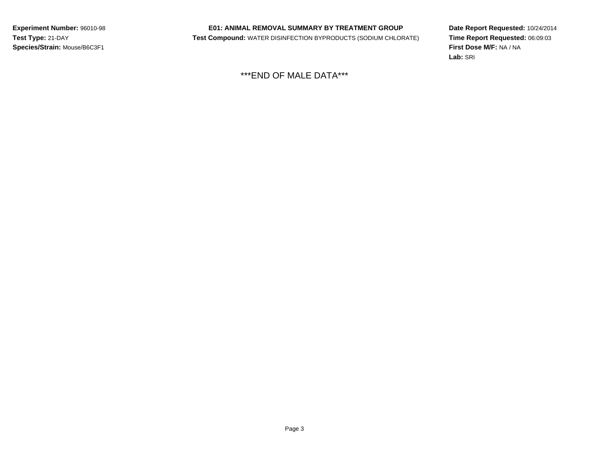# **E01: ANIMAL REMOVAL SUMMARY BY TREATMENT GROUP**

**Test Compound:** WATER DISINFECTION BYPRODUCTS (SODIUM CHLORATE)

**Date Report Requested:** 10/24/2014**Time Report Requested:** 06:09:03**First Dose M/F:** NA / NA**Lab:** SRI

\*\*\*END OF MALE DATA\*\*\*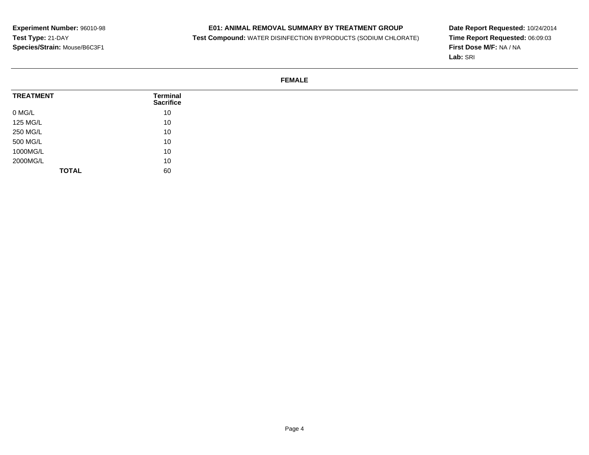# **E01: ANIMAL REMOVAL SUMMARY BY TREATMENT GROUP**

**Test Compound:** WATER DISINFECTION BYPRODUCTS (SODIUM CHLORATE)

**Date Report Requested:** 10/24/2014**Time Report Requested:** 06:09:03**First Dose M/F:** NA / NA**Lab:** SRI

# **FEMALE**

| <b>TREATMENT</b> | <b>Terminal</b><br><b>Sacrifice</b> |
|------------------|-------------------------------------|
| 0 MG/L           | 10                                  |
| 125 MG/L         | 10                                  |
| 250 MG/L         | 10                                  |
| 500 MG/L         | 10                                  |
| 1000MG/L         | 10                                  |
| 2000MG/L         | 10                                  |
| <b>TOTAL</b>     | 60                                  |